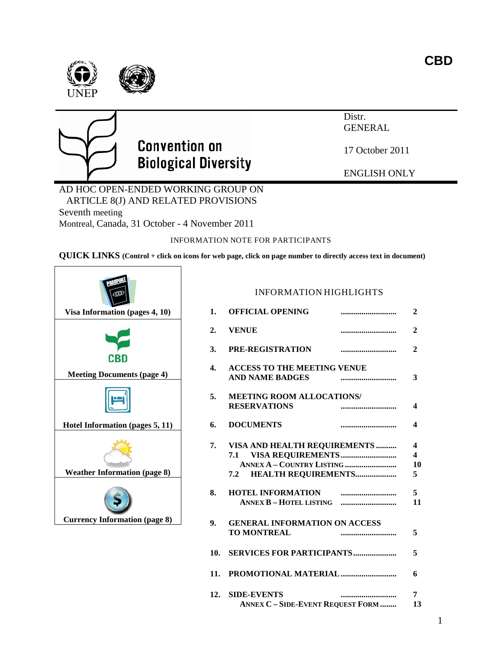1

## Distr. GENERAL

17 October 2011

ENGLISH ONLY

AD HOC OPEN-ENDED WORKING GROUP ON ARTICLE 8(J) AND RELATED PROVISIONS Seventh meeting Montreal, Canada, 31 October - 4 November 2011

INFORMATION NOTE FOR PARTICIPANTS

**QUICK LINKS (Control + click on icons for web page, click on page number to directly access text in document)**



INFORMATION HIGHLIGHTS



# **Convention on Biological Diversity**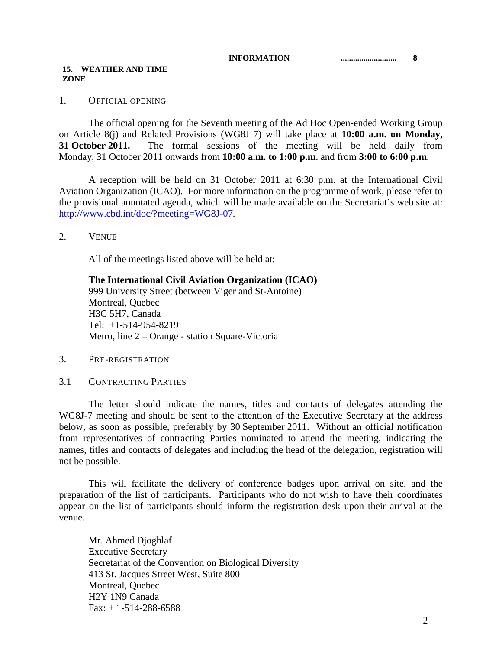#### **INFORMATION ........................... 8**

## **15. WEATHER AND TIME ZONE**

## 1. OFFICIAL OPENING

The official opening for the Seventh meeting of the Ad Hoc Open-ended Working Group on Article 8(j) and Related Provisions (WG8J 7) will take place at **10:00 a.m. on Monday, 31 October 2011.** The formal sessions of the meeting will be held daily from Monday, 31 October 2011 onwards from **10:00 a.m. to 1:00 p.m**. and from **3:00 to 6:00 p.m**.

A reception will be held on 31 October 2011 at 6:30 p.m. at the International Civil Aviation Organization (ICAO). For more information on the programme of work, please refer to the provisional annotated agenda, which will be made available on the Secretariat's web site at: [http://www.cbd.int/doc/?meeting=WG8J-07.](http://www.cbd.int/doc/?meeting=WG8J-07)

2. VENUE

All of the meetings listed above will be held at:

**The International Civil Aviation Organization (ICAO)** 999 University Street (between Viger and St-Antoine) Montreal, Quebec H3C 5H7, Canada Tel: +1-514-954-8219 Metro, line 2 – Orange - station Square-Victoria

- 3. PRE-REGISTRATION
- 3.1 CONTRACTING PARTIES

The letter should indicate the names, titles and contacts of delegates attending the WG8J-7 meeting and should be sent to the attention of the Executive Secretary at the address below, as soon as possible, preferably by 30 September 2011. Without an official notification from representatives of contracting Parties nominated to attend the meeting, indicating the names, titles and contacts of delegates and including the head of the delegation, registration will not be possible.

This will facilitate the delivery of conference badges upon arrival on site, and the preparation of the list of participants. Participants who do not wish to have their coordinates appear on the list of participants should inform the registration desk upon their arrival at the venue.

Mr. Ahmed Djoghlaf Executive Secretary Secretariat of the Convention on Biological Diversity 413 St. Jacques Street West, Suite 800 Montreal, Quebec H2Y 1N9 Canada  $Fax: + 1-514-288-6588$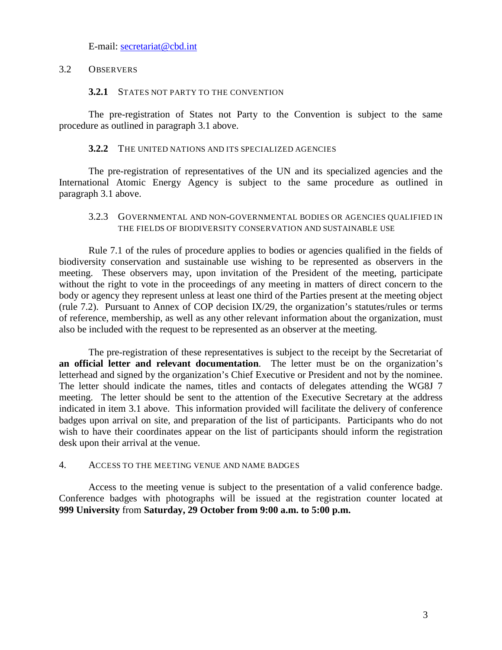E-mail: [secretariat@cbd.int](mailto:secretariat@cbd.int)

## 3.2 OBSERVERS

## **3.2.1** STATES NOT PARTY TO THE CONVENTION

The pre-registration of States not Party to the Convention is subject to the same procedure as outlined in paragraph 3.1 above.

## **3.2.2** THE UNITED NATIONS AND ITS SPECIALIZED AGENCIES

The pre-registration of representatives of the UN and its specialized agencies and the International Atomic Energy Agency is subject to the same procedure as outlined in paragraph 3.1 above.

## 3.2.3 GOVERNMENTAL AND NON-GOVERNMENTAL BODIES OR AGENCIES QUALIFIED IN THE FIELDS OF BIODIVERSITY CONSERVATION AND SUSTAINABLE USE

Rule 7.1 of the rules of procedure applies to bodies or agencies qualified in the fields of biodiversity conservation and sustainable use wishing to be represented as observers in the meeting. These observers may, upon invitation of the President of the meeting, participate without the right to vote in the proceedings of any meeting in matters of direct concern to the body or agency they represent unless at least one third of the Parties present at the meeting object (rule 7.2). Pursuant to Annex of COP decision IX/29, the organization's statutes/rules or terms of reference, membership, as well as any other relevant information about the organization, must also be included with the request to be represented as an observer at the meeting.

The pre-registration of these representatives is subject to the receipt by the Secretariat of **an official letter and relevant documentation**. The letter must be on the organization's letterhead and signed by the organization's Chief Executive or President and not by the nominee. The letter should indicate the names, titles and contacts of delegates attending the WG8J 7 meeting. The letter should be sent to the attention of the Executive Secretary at the address indicated in item 3.1 above. This information provided will facilitate the delivery of conference badges upon arrival on site, and preparation of the list of participants. Participants who do not wish to have their coordinates appear on the list of participants should inform the registration desk upon their arrival at the venue.

## 4. ACCESS TO THE MEETING VENUE AND NAME BADGES

Access to the meeting venue is subject to the presentation of a valid conference badge. Conference badges with photographs will be issued at the registration counter located at **999 University** from **Saturday, 29 October from 9:00 a.m. to 5:00 p.m.**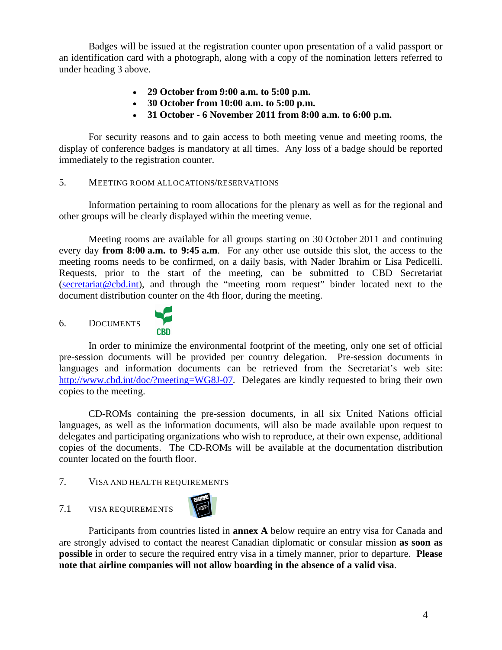Badges will be issued at the registration counter upon presentation of a valid passport or an identification card with a photograph, along with a copy of the nomination letters referred to under heading 3 above.

- **29 October from 9:00 a.m. to 5:00 p.m.**
- **30 October from 10:00 a.m. to 5:00 p.m.**
- **31 October - 6 November 2011 from 8:00 a.m. to 6:00 p.m.**

For security reasons and to gain access to both meeting venue and meeting rooms, the display of conference badges is mandatory at all times. Any loss of a badge should be reported immediately to the registration counter.

## 5. MEETING ROOM ALLOCATIONS/RESERVATIONS

Information pertaining to room allocations for the plenary as well as for the regional and other groups will be clearly displayed within the meeting venue.

Meeting rooms are available for all groups starting on 30 October 2011 and continuing every day **from 8:00 a.m. to 9:45 a.m**. For any other use outside this slot, the access to the meeting rooms needs to be confirmed, on a daily basis, with Nader Ibrahim or Lisa Pedicelli. Requests, prior to the start of the meeting, can be submitted to CBD Secretariat [\(secretariat@cbd.int\)](mailto:secretariat@cbd.int), and through the "meeting room request" binder located next to the document distribution counter on the 4th floor, during the meeting.



In order to minimize the environmental footprint of the meeting, only one set of official pre-session documents will be provided per country delegation. Pre-session documents in languages and information documents can be retrieved from the Secretariat's web site: [http://www.cbd.int/doc/?meeting=WG8J-07.](http://www.cbd.int/doc/?meeting=WG8J-07) Delegates are kindly requested to bring their own copies to the meeting.

CD-ROMs containing the pre-session documents, in all six United Nations official languages, as well as the information documents, will also be made available upon request to delegates and participating organizations who wish to reproduce, at their own expense, additional copies of the documents. The CD-ROMs will be available at the documentation distribution counter located on the fourth floor.

## 7. VISA AND HEALTH REQUIREMENTS

## <span id="page-3-0"></span>7.1 VISA REQUIREMENTS

<span id="page-3-1"></span>6. DOCUMENTS



Participants from countries listed in **annex A** below require an entry visa for Canada and are strongly advised to contact the nearest Canadian diplomatic or consular mission **as soon as possible** in order to secure the required entry visa in a timely manner, prior to departure. **Please note that airline companies will not allow boarding in the absence of a valid visa**.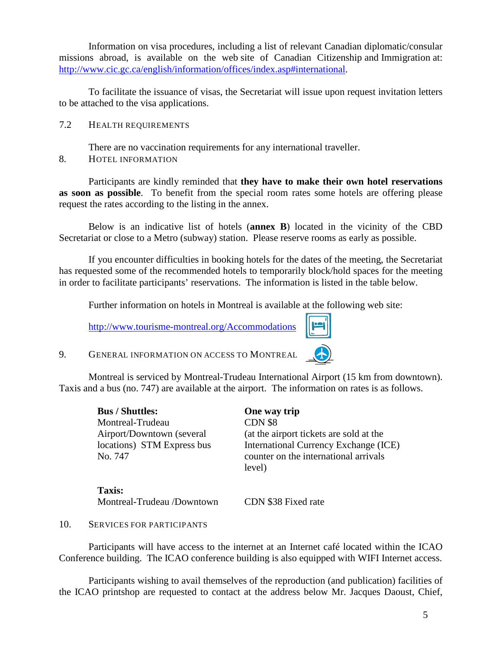Information on visa procedures, including a list of relevant Canadian diplomatic/consular missions abroad, is available on the web site of Canadian Citizenship and Immigration at: [http://www.cic.gc.ca/english/information/offices/index.asp#international.](http://www.cic.gc.ca/english/information/offices/index.asp#international)

To facilitate the issuance of visas, the Secretariat will issue upon request invitation letters to be attached to the visa applications.

7.2 HEALTH REQUIREMENTS

There are no vaccination requirements for any international traveller.

<span id="page-4-0"></span>8. HOTEL INFORMATION

Participants are kindly reminded that **they have to make their own hotel reservations as soon as possible**. To benefit from the special room rates some hotels are offering please request the rates according to the listing in the annex.

Below is an indicative list of hotels (**annex B**) located in the vicinity of the CBD Secretariat or close to a Metro (subway) station. Please reserve rooms as early as possible.

If you encounter difficulties in booking hotels for the dates of the meeting, the Secretariat has requested some of the recommended hotels to temporarily block/hold spaces for the meeting in order to facilitate participants' reservations. The information is listed in the table below.

Further information on hotels in Montreal is available at the following web site:

<http://www.tourisme-montreal.org/Accommodations>



9. GENERAL INFORMATION ON ACCESS TO MONTREAL

Montreal is serviced by Montreal-Trudeau International Airport (15 km from downtown). Taxis and a bus (no. 747) are available at the airport. The information on rates is as follows.

| <b>Bus / Shuttles:</b>     | One way trip                            |
|----------------------------|-----------------------------------------|
| Montreal-Trudeau           | CDN \$8                                 |
| Airport/Downtown (several  | (at the airport tickets are sold at the |
| locations) STM Express bus | International Currency Exchange (ICE)   |
| No. 747                    | counter on the international arrivals   |
|                            | level)                                  |
|                            |                                         |

**Taxis:**  Montreal-Trudeau /Downtown CDN \$38 Fixed rate

10. SERVICES FOR PARTICIPANTS

Participants will have access to the internet at an Internet café located within the ICAO Conference building. The ICAO conference building is also equipped with WIFI Internet access.

Participants wishing to avail themselves of the reproduction (and publication) facilities of the ICAO printshop are requested to contact at the address below Mr. Jacques Daoust, Chief,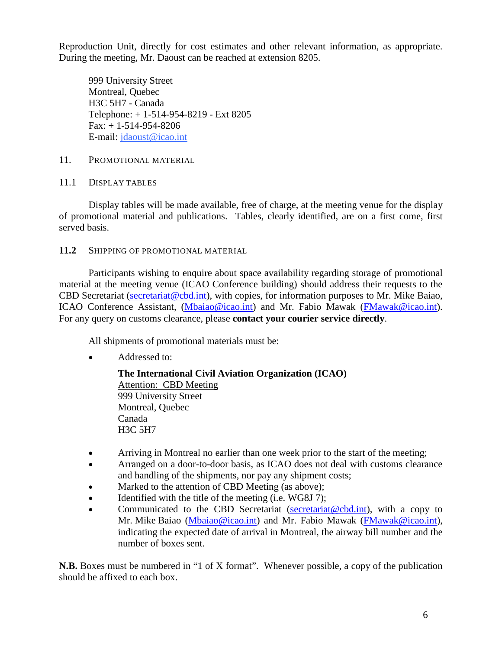Reproduction Unit, directly for cost estimates and other relevant information, as appropriate. During the meeting, Mr. Daoust can be reached at extension 8205.

999 University Street Montreal, Quebec H3C 5H7 - Canada Telephone: + 1-514-954-8219 - Ext 8205 Fax: + 1-514-954-8206 E-mail: [jdaoust@icao.int](mailto:jdaoust@icao.int)

## 11. PROMOTIONAL MATERIAL

## 11.1 DISPLAY TABLES

Display tables will be made available, free of charge, at the meeting venue for the display of promotional material and publications. Tables, clearly identified, are on a first come, first served basis.

## **11.2** SHIPPING OF PROMOTIONAL MATERIAL

Participants wishing to enquire about space availability regarding storage of promotional material at the meeting venue (ICAO Conference building) should address their requests to the CBD Secretariat [\(secretariat@cbd.int\)](mailto:secretariat@cbd.int), with copies, for information purposes to Mr. Mike Baiao, ICAO Conference Assistant, [\(Mbaiao@icao.int\)](mailto:Mbaiao@icao.int) and Mr. Fabio Mawak [\(FMawak@icao.int\)](mailto:FMawak@icao.int). For any query on customs clearance, please **contact your courier service directly**.

All shipments of promotional materials must be:

• Addressed to:

**The International Civil Aviation Organization (ICAO)** 999 University Street Attention: CBD Meeting Montreal, Quebec Canada H3C 5H7

- Arriving in Montreal no earlier than one week prior to the start of the meeting;
- Arranged on a door-to-door basis, as ICAO does not deal with customs clearance and handling of the shipments, nor pay any shipment costs;
- Marked to the attention of CBD Meeting (as above);
- Identified with the title of the meeting (i.e. WG8J 7);
- Communicated to the CBD Secretariat (secretariat  $@cbd.int$ ), with a copy to Mr. Mike Baiao [\(Mbaiao@icao.int\)](mailto:Mbaiao@icao.int) and Mr. Fabio Mawak [\(FMawak@icao.int\)](mailto:FMawak@icao.int), indicating the expected date of arrival in Montreal, the airway bill number and the number of boxes sent.

**N.B.** Boxes must be numbered in "1 of X format". Whenever possible, a copy of the publication should be affixed to each box.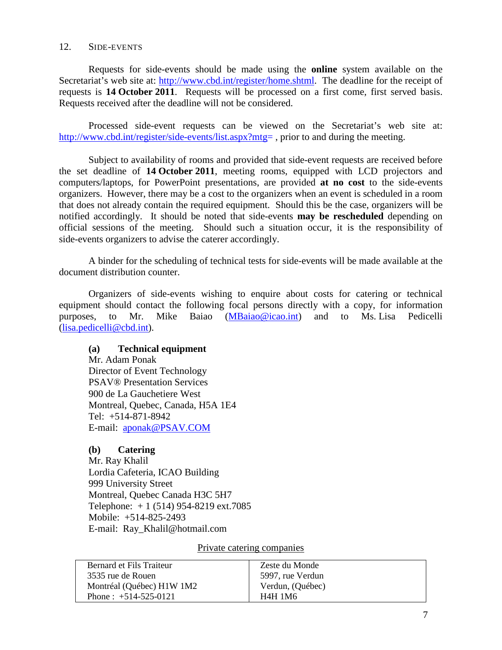## 12. SIDE-EVENTS

Requests for side-events should be made using the **online** system available on the Secretariat's web site at: [http://www.cbd.int/register/home.shtml.](http://www.cbd.int/register/home.shtml) The deadline for the receipt of requests is **14 October 2011**. Requests will be processed on a first come, first served basis. Requests received after the deadline will not be considered.

Processed side-event requests can be viewed on the Secretariat's web site at: [http://www.cbd.int/register/side-events/list.aspx?mtg=](http://www.cbd.int/register/side-events/list.aspx?mtg), prior to and during the meeting.

Subject to availability of rooms and provided that side-event requests are received before the set deadline of **14 October 2011**, meeting rooms, equipped with LCD projectors and computers/laptops, for PowerPoint presentations, are provided **at no cost** to the side-events organizers. However, there may be a cost to the organizers when an event is scheduled in a room that does not already contain the required equipment. Should this be the case, organizers will be notified accordingly. It should be noted that side-events **may be rescheduled** depending on official sessions of the meeting. Should such a situation occur, it is the responsibility of side-events organizers to advise the caterer accordingly.

A binder for the scheduling of technical tests for side-events will be made available at the document distribution counter.

Organizers of side-events wishing to enquire about costs for catering or technical equipment should contact the following focal persons directly with a copy, for information purposes, to Mr. Mike Baiao [\(MBaiao@icao.int\)](mailto:MBaiao@icao.int) and to Ms. Lisa Pedicelli (lisa.pedicell[i@cbd.int\)](mailto:secretariat@biodiv.org).

## **(a) Technical equipment**

Mr. Adam Ponak Director of Event Technology PSAV® Presentation Services 900 de La Gauchetiere West Montreal, Quebec, Canada, H5A 1E4 Tel: +514-871-8942 E-mail: [aponak@PSAV.COM](mailto:aponak@PSAV.COM)

## **(b) Catering**

Mr. Ray Khalil Lordia Cafeteria, ICAO Building 999 University Street Montreal, Quebec Canada H3C 5H7 Telephone: + 1 (514) 954-8219 ext.7085 Mobile: +514-825-2493 E-mail: Ray\_Khalil@hotmail.com

Private catering companies

| Bernard et Fils Traiteur  | Zeste du Monde   |
|---------------------------|------------------|
| 3535 rue de Rouen         | 5997, rue Verdun |
| Montréal (Québec) H1W 1M2 | Verdun, (Québec) |
| Phone: $+514-525-0121$    | <b>H4H 1M6</b>   |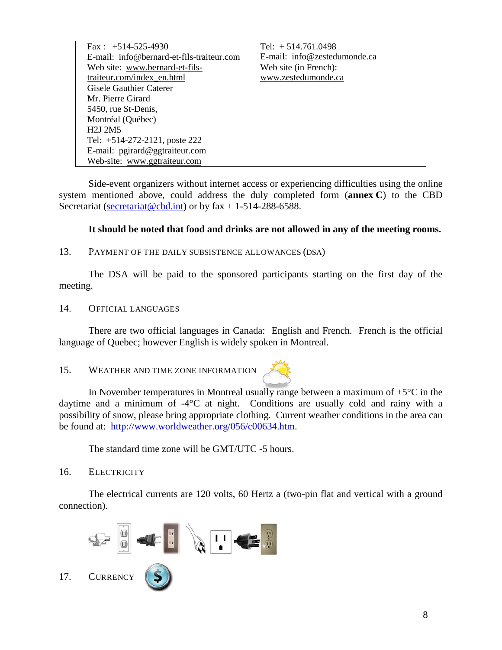| Fax : $+514-525-4930$                        | Tel: $+514.761.0498$         |
|----------------------------------------------|------------------------------|
| $E$ -mail: info@bernard-et-fils-traiteur.com | E-mail: info@zestedumonde.ca |
| Web site: www.bernard-et-fils-               | Web site (in French):        |
| traiteur.com/index en.html                   | www.zestedumonde.ca          |
| Gisele Gauthier Caterer                      |                              |
| Mr. Pierre Girard                            |                              |
| 5450, rue St-Denis,                          |                              |
| Montréal (Québec)                            |                              |
| H <sub>2</sub> J <sub>2M5</sub>              |                              |
| Tel: +514-272-2121, poste 222                |                              |
| E-mail: pgirard@ggtraiteur.com               |                              |
| Web-site: www.ggtraiteur.com                 |                              |

Side-event organizers without internet access or experiencing difficulties using the online system mentioned above, could address the duly completed form (**annex C**) to the CBD Secretariat [\(secretariat@cbd.int\)](mailto:secretariat@cbd.int) or by fax + 1-514-288-6588.

## **It should be noted that food and drinks are not allowed in any of the meeting rooms.**

## 13. PAYMENT OF THE DAILY SUBSISTENCE ALLOWANCES (DSA)

The DSA will be paid to the sponsored participants starting on the first day of the meeting.

## 14. OFFICIAL LANGUAGES

There are two official languages in Canada: English and French. French is the official language of Quebec; however English is widely spoken in Montreal.

## <span id="page-7-0"></span>15. WEATHER AND TIME ZONE INFORMATION



In November temperatures in Montreal usu[ally rang](http://www.worldweather.org/056/c00634.htm)e between a maximum of  $+5^{\circ}C$  in the daytime and a minimum of -4°C at night. Conditions are usually cold and rainy with a possibility of snow, please bring appropriate clothing. Current weather conditions in the area can be found at: http://www.worldweather.org/056/c00634.htm.

The standard time zone will be GMT/UTC -5 hours.

## 16. ELECTRICITY

The electrical currents are 120 volts, 60 Hertz a (two-pin flat and vertical with a ground connection).

<span id="page-7-1"></span>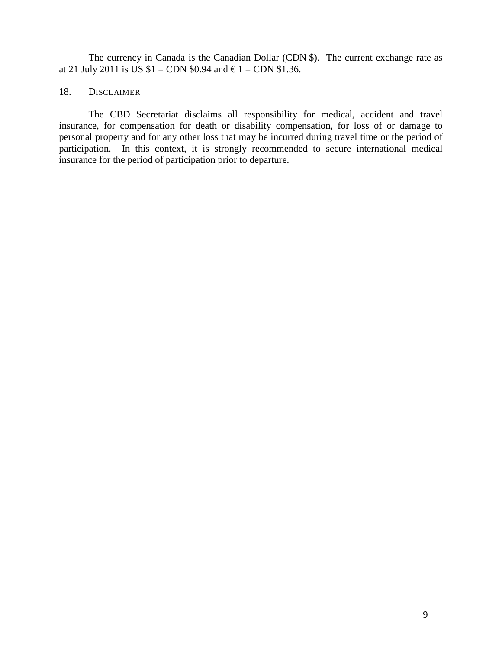The currency in Canada is the Canadian Dollar (CDN \$). The current exchange rate as at 21 July 2011 is US  $$1 = CDN $0.94$  and €1 = CDN \$1.36.

## 18. DISCLAIMER

The CBD Secretariat disclaims all responsibility for medical, accident and travel insurance, for compensation for death or disability compensation, for loss of or damage to personal property and for any other loss that may be incurred during travel time or the period of participation. In this context, it is strongly recommended to secure international medical insurance for the period of participation prior to departure.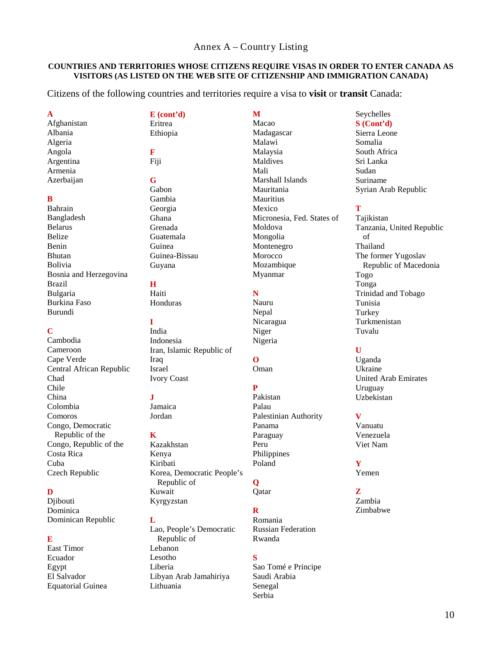#### Annex A – Country Listing

#### <span id="page-9-0"></span>**COUNTRIES AND TERRITORIES WHOSE CITIZENS REQUIRE VISAS IN ORDER TO ENTER CANADA AS VISITORS (AS LISTED ON THE WEB SITE OF CITIZENSHIP AND IMMIGRATION CANADA)**

Citizens of the following countries and territories require a visa to **visit** or **transit** Canada:

**A** Afghanistan Albania Algeria Angola Argentina Armenia Azerbaijan

#### **B**

Bahrain Bangladesh Belarus Belize Benin Bhutan Bolivia Bosnia and Herzegovina Brazil Bulgaria Burkina Faso Burundi

#### **C**

Cambodia Cameroon Cape Verde Central African Republic Chad Chile China Colombia Comoros Congo, Democratic Republic of the Congo, Republic of the Costa Rica Cuba Czech Republic

#### **D**

Diibouti Dominica Dominican Republic

#### **E**

East Timor Ecuador Egypt El Salvador Equatorial Guinea **E (cont'd)** Eritrea Ethiopia **F** Fiji **G** Gabon Gambia Georgia Ghana Grenada Guatemala Guinea Guinea-Bissau

#### **H** Haiti

Guyana

Honduras

**I** India Indonesia Iran, Islamic Republic of Iraq Israel Ivory Coast

## $\mathbf{J}$

Jamaica Jordan

#### **K**

Kazakhstan Kenya Kiribati Korea, Democratic People's Republic of Kuwait Kyrgyzstan

#### **L**

Lao, People's Democratic Republic of Lebanon Lesotho Liberia Libyan Arab Jamahiriya Lithuania

**M** Macao Madagascar Malawi Malaysia Maldives Mali Marshall Islands Mauritania **Mauritius** Mexico Micronesia, Fed. States of Moldova Mongolia Montenegro Morocco Mozambique Myanmar

## **N**

Nauru Nepal Nicaragua Niger Nigeria

## **O**

Oman

## **P**

Pakistan Palau Palestinian Authority Panama Paraguay Peru Philippines Poland

## **Q**

Qatar

## **R**

Romania Russian Federation Rwanda

## **S**

Sao Tomé e Principe Saudi Arabia Senegal Serbia

Seychelles **S (Cont'd)** Sierra Leone

Somalia South Africa Sri Lanka Sudan Suriname Syrian Arab Republic

## **T**

Tajikistan Tanzania, United Republic of Thailand The former Yugoslav Republic of Macedonia Togo Tonga Trinidad and Tobago Tunisia Turkey Turkmenistan Tuvalu

## **U**

Uganda Ukraine United Arab Emirates Uruguay Uzbekistan

#### **V**

Vanuatu Venezuela Viet Nam

**Y** Yemen

**Z** Zambia

Zimbabwe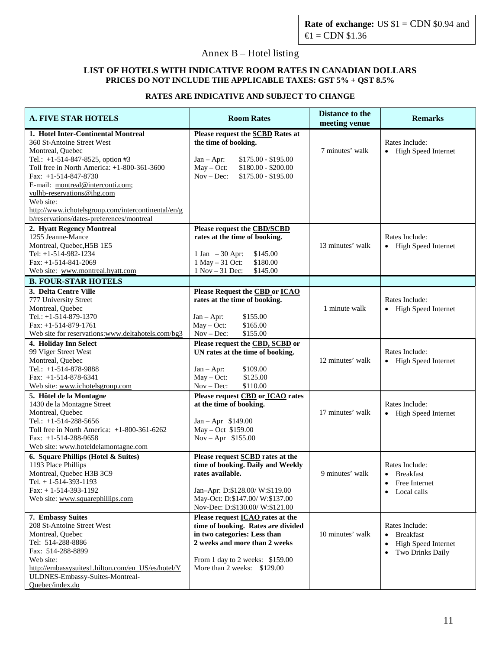## <span id="page-10-0"></span>Annex B – Hotel listing

#### **LIST OF HOTELS WITH INDICATIVE ROOM RATES IN CANADIAN DOLLARS PRICES DO NOT INCLUDE THE APPLICABLE TAXES: GST 5% + QST 8.5%**

## **RATES ARE INDICATIVE AND SUBJECT TO CHANGE**

| <b>A. FIVE STAR HOTELS</b>                                                                                                                                                                                                                                                                                                                                                           | <b>Room Rates</b>                                                                                                                                                                                                | <b>Distance to the</b><br>meeting venue | <b>Remarks</b>                                                             |  |
|--------------------------------------------------------------------------------------------------------------------------------------------------------------------------------------------------------------------------------------------------------------------------------------------------------------------------------------------------------------------------------------|------------------------------------------------------------------------------------------------------------------------------------------------------------------------------------------------------------------|-----------------------------------------|----------------------------------------------------------------------------|--|
| 1. Hotel Inter-Continental Montreal<br>360 St-Antoine Street West<br>Montreal, Quebec<br>Tel.: +1-514-847-8525, option #3<br>Toll free in North America: +1-800-361-3600<br>Fax: $+1-514-847-8730$<br>E-mail: montreal@interconti.com;<br>yulhb-reservations@ihg.com<br>Web site:<br>http://www.ichotelsgroup.com/intercontinental/en/g<br>b/reservations/dates-preferences/montreal | Please request the <b>SCBD</b> Rates at<br>the time of booking.<br>$$175.00 - $195.00$<br>$Jan - Apr$ :<br>$$180.00 - $200.00$<br>$May - Oct:$<br>$Nov - Dec:$<br>$$175.00 - $195.00$                            | 7 minutes' walk                         | Rates Include:<br>• High Speed Internet                                    |  |
| 2. Hyatt Regency Montreal<br>1255 Jeanne-Mance<br>Montreal, Quebec, H5B 1E5<br>Tel: $+1-514-982-1234$<br>Fax: $+1-514-841-2069$<br>Web site: www.montreal.hyatt.com                                                                                                                                                                                                                  | Please request the CBD/SCBD<br>rates at the time of booking.<br>$1$ Jan $-30$ Apr:<br>\$145.00<br>1 May - 31 Oct:<br>\$180.00<br>1 Nov - 31 Dec:<br>\$145.00                                                     | 13 minutes' walk                        | Rates Include:<br>• High Speed Internet                                    |  |
| <b>B. FOUR-STAR HOTELS</b>                                                                                                                                                                                                                                                                                                                                                           |                                                                                                                                                                                                                  |                                         |                                                                            |  |
| 3. Delta Centre Ville<br>777 University Street<br>Montreal, Quebec<br>Tel.: $+1-514-879-1370$<br>Fax: $+1-514-879-1761$<br>Web site for reservations:www.deltahotels.com/bg3                                                                                                                                                                                                         | Please Request the CBD or ICAO<br>rates at the time of booking.<br>\$155.00<br>$Jan - Apr$ :<br>$May - Oct:$<br>\$165.00<br>$Nov - Dec:$<br>\$155.00                                                             | 1 minute walk                           | Rates Include:<br>• High Speed Internet                                    |  |
| 4. Holiday Inn Select<br>99 Viger Street West<br>Montreal, Quebec<br>Tel.: +1-514-878-9888<br>Fax: $+1-514-878-6341$<br>Web site: www.ichotelsgroup.com                                                                                                                                                                                                                              | Please request the CBD, SCBD or<br>UN rates at the time of booking.<br>\$109.00<br>$Jan - Apr$ :<br>$May - Oct:$<br>\$125.00<br>$Nov - Dec:$<br>\$110.00                                                         | 12 minutes' walk                        | Rates Include:<br>• High Speed Internet                                    |  |
| 5. Hôtel de la Montagne<br>1430 de la Montagne Street<br>Montreal, Quebec<br>Tel.: +1-514-288-5656<br>Toll free in North America: +1-800-361-6262<br>Fax: $+1-514-288-9658$<br>Web site: www.hoteldelamontagne.com                                                                                                                                                                   | Please request CBD or ICAO rates<br>at the time of booking.<br>$Jan - Apr$ \$149.00<br>May - Oct \$159.00<br>Nov - Apr \$155.00                                                                                  | 17 minutes' walk                        | Rates Include:<br>• High Speed Internet                                    |  |
| 6. Square Phillips (Hotel & Suites)<br>1193 Place Phillips<br>Montreal, Quebec H3B 3C9<br>Tel. $+ 1 - 514 - 393 - 1193$<br>$Fax: + 1-514-393-1192$<br>Web site: www.squarephillips.com                                                                                                                                                                                               | Please request <b>SCBD</b> rates at the<br>time of booking. Daily and Weekly<br>rates available.<br>Jan-Apr: D:\$128.00/ W:\$119.00<br>May-Oct: D:\$147.00/ W:\$137.00<br>Nov-Dec: D:\$130.00/ W:\$121.00        | 9 minutes' walk                         | Rates Include:<br>• Breakfast<br>Free Internet<br>Local calls<br>$\bullet$ |  |
| 7. Embassy Suites<br>208 St-Antoine Street West<br>Montreal, Quebec<br>Tel: 514-288-8886<br>Fax: 514-288-8899<br>Web site:<br>http://embassysuites1.hilton.com/en_US/es/hotel/Y<br>ULDNES-Embassy-Suites-Montreal-<br>Quebec/index.do                                                                                                                                                | Please request <b>ICAO</b> rates at the<br>time of booking. Rates are divided<br>in two categories: Less than<br>2 weeks and more than 2 weeks<br>From 1 day to 2 weeks: \$159.00<br>More than 2 weeks: \$129.00 | 10 minutes' walk                        | Rates Include:<br>• Breakfast<br>High Speed Internet<br>Two Drinks Daily   |  |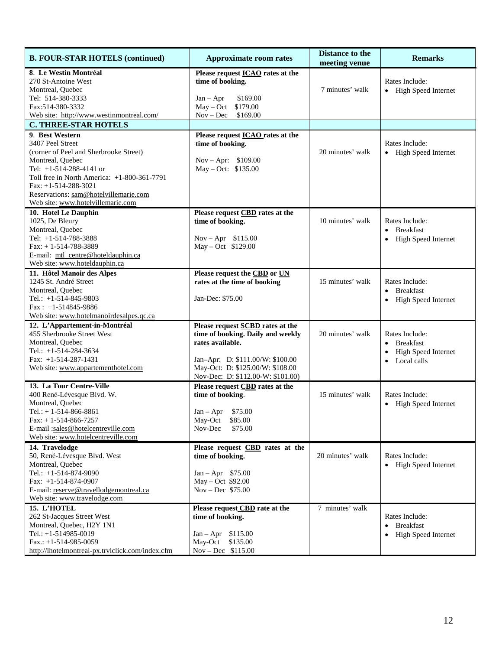| <b>B. FOUR-STAR HOTELS (continued)</b>                                                                                                                                                                                                                                                | <b>Approximate room rates</b>                                                                                                                                                                                 | <b>Distance to the</b><br>meeting venue | <b>Remarks</b>                                                                                       |  |
|---------------------------------------------------------------------------------------------------------------------------------------------------------------------------------------------------------------------------------------------------------------------------------------|---------------------------------------------------------------------------------------------------------------------------------------------------------------------------------------------------------------|-----------------------------------------|------------------------------------------------------------------------------------------------------|--|
| 8. Le Westin Montréal<br>270 St-Antoine West<br>Montreal, Quebec<br>Tel: 514-380-3333<br>Fax: 514-380-3332<br>Web site: http://www.westinmontreal.com/                                                                                                                                | Please request <b>ICAO</b> rates at the<br>time of booking.<br>$Jan - Apr$<br>\$169.00<br>$May - Oct$<br>\$179.00<br>\$169.00<br>$Nov - Dec$                                                                  | 7 minutes' walk                         | Rates Include:<br>• High Speed Internet                                                              |  |
| <b>C. THREE-STAR HOTELS</b>                                                                                                                                                                                                                                                           |                                                                                                                                                                                                               |                                         |                                                                                                      |  |
| 9. Best Western<br>3407 Peel Street<br>(corner of Peel and Sherbrooke Street)<br>Montreal, Quebec<br>Tel: +1-514-288-4141 or<br>Toll free in North America: $+1-800-361-7791$<br>Fax: $+1-514-288-3021$<br>Reservations: sam@hotelvillemarie.com<br>Web site: www.hotelvillemarie.com | Please request <b>ICAO</b> rates at the<br>time of booking.<br>Nov – Apr: $$109.00$<br>May - Oct: \$135.00                                                                                                    | 20 minutes' walk                        | Rates Include:<br>• High Speed Internet                                                              |  |
| 10. Hotel Le Dauphin<br>1025, De Bleury<br>Montreal, Quebec<br>Tel: +1-514-788-3888<br>Fax: $+1-514-788-3889$<br>E-mail: mtl_centre@hoteldauphin.ca<br>Web site: www.hoteldauphin.ca                                                                                                  | Please request CBD rates at the<br>time of booking.<br>$Nov - Apr$ \$115.00<br>May - Oct \$129.00                                                                                                             | 10 minutes' walk                        | Rates Include:<br><b>Breakfast</b><br>High Speed Internet<br>$\bullet$                               |  |
| 11. Hôtel Manoir des Alpes<br>1245 St. André Street<br>Montreal, Quebec<br>Tel.: $+1-514-845-9803$<br>$Fax: +1-514845-9886$<br>Web site: www.hotelmanoirdesalpes.qc.ca                                                                                                                | Please request the CBD or UN<br>rates at the time of booking<br>Jan-Dec: \$75.00                                                                                                                              | 15 minutes' walk                        | Rates Include:<br>• Breakfast<br>High Speed Internet<br>$\bullet$                                    |  |
| 12. L'Appartement-in-Montréal<br>455 Sherbrooke Street West<br>Montreal, Quebec<br>Tel.: +1-514-284-3634<br>Fax: $+1-514-287-1431$<br>Web site: www.appartementhotel.com                                                                                                              | Please request <b>SCBD</b> rates at the<br>time of booking. Daily and weekly<br>rates available.<br>Jan-Apr: D: \$111.00/W: \$100.00<br>May-Oct: D: \$125.00/W: \$108.00<br>Nov-Dec: D: \$112.00-W: \$101.00) | 20 minutes' walk                        | Rates Include:<br>• Breakfast<br><b>High Speed Internet</b><br>$\bullet$<br>Local calls<br>$\bullet$ |  |
| 13. La Tour Centre-Ville<br>400 René-Lévesque Blvd. W.<br>Montreal, Quebec<br>Tel.: $+ 1 - 514 - 866 - 8861$<br>Fax: $+1-514-866-7257$<br>E-mail:sales@hotelcentreville.com<br>Web site: www.hotelcentreville.com                                                                     | Please request CBD rates at the<br>time of booking.<br>$Jan - Apr$ \$75.00<br>\$85.00<br>May-Oct<br>Nov-Dec<br>\$75.00                                                                                        | 15 minutes' walk                        | Rates Include:<br>• High Speed Internet                                                              |  |
| 14. Travelodge<br>50, René-Lévesque Blvd. West<br>Montreal, Quebec<br>Tel.: +1-514-874-9090<br>Fax: $+1-514-874-0907$<br>E-mail: reserve@travellodgemontreal.ca<br>Web site: www.travelodge.com                                                                                       | Please request CBD rates at the<br>time of booking.<br>$Jan - Apr$ \$75.00<br>May - Oct \$92.00<br>$Nov - Dec$ \$75.00                                                                                        | 20 minutes' walk                        | Rates Include:<br>• High Speed Internet                                                              |  |
| 15. L'HOTEL<br>262 St-Jacques Street West<br>Montreal, Quebec, H2Y 1N1<br>Tel.: $+1-514985-0019$<br>Fax.: $+1-514-985-0059$<br>http://lhotelmontreal-px.trvlclick.com/index.cfm                                                                                                       | Please request CBD rate at the<br>time of booking.<br>$Jan - Apr$ \$115.00<br>May-Oct<br>\$135.00<br>Nov - Dec \$115.00                                                                                       | 7 minutes' walk                         | Rates Include:<br><b>Breakfast</b><br>$\bullet$<br><b>High Speed Internet</b><br>$\bullet$           |  |